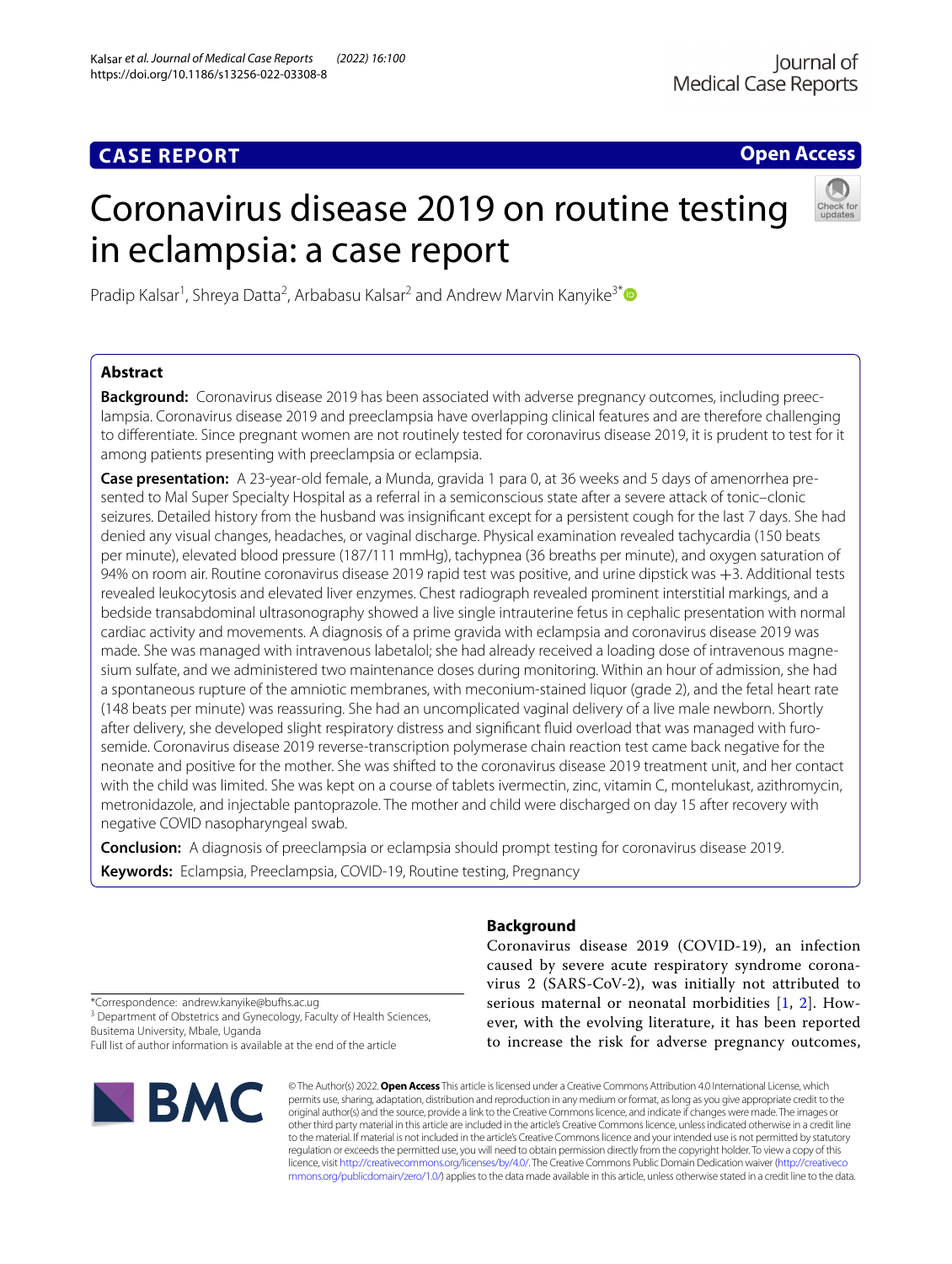# **CASE REPORT**

**Open Access**

# Coronavirus disease 2019 on routine testing in eclampsia: a case report



Pradip Kalsar<sup>1</sup>, Shreya Datta<sup>2</sup>, Arbabasu Kalsar<sup>2</sup> and Andrew Marvin Kanyike<sup>3[\\*](http://orcid.org/0000-0002-8138-9083)</sup>

# **Abstract**

**Background:** Coronavirus disease 2019 has been associated with adverse pregnancy outcomes, including preeclampsia. Coronavirus disease 2019 and preeclampsia have overlapping clinical features and are therefore challenging to diferentiate. Since pregnant women are not routinely tested for coronavirus disease 2019, it is prudent to test for it among patients presenting with preeclampsia or eclampsia.

**Case presentation:** A 23-year-old female, a Munda, gravida 1 para 0, at 36 weeks and 5 days of amenorrhea presented to Mal Super Specialty Hospital as a referral in a semiconscious state after a severe attack of tonic–clonic seizures. Detailed history from the husband was insignifcant except for a persistent cough for the last 7 days. She had denied any visual changes, headaches, or vaginal discharge. Physical examination revealed tachycardia (150 beats per minute), elevated blood pressure (187/111 mmHg), tachypnea (36 breaths per minute), and oxygen saturation of 94% on room air. Routine coronavirus disease 2019 rapid test was positive, and urine dipstick was +3. Additional tests revealed leukocytosis and elevated liver enzymes. Chest radiograph revealed prominent interstitial markings, and a bedside transabdominal ultrasonography showed a live single intrauterine fetus in cephalic presentation with normal cardiac activity and movements. A diagnosis of a prime gravida with eclampsia and coronavirus disease 2019 was made. She was managed with intravenous labetalol; she had already received a loading dose of intravenous magnesium sulfate, and we administered two maintenance doses during monitoring. Within an hour of admission, she had a spontaneous rupture of the amniotic membranes, with meconium-stained liquor (grade 2), and the fetal heart rate (148 beats per minute) was reassuring. She had an uncomplicated vaginal delivery of a live male newborn. Shortly after delivery, she developed slight respiratory distress and signifcant fuid overload that was managed with furosemide. Coronavirus disease 2019 reverse-transcription polymerase chain reaction test came back negative for the neonate and positive for the mother. She was shifted to the coronavirus disease 2019 treatment unit, and her contact with the child was limited. She was kept on a course of tablets ivermectin, zinc, vitamin C, montelukast, azithromycin, metronidazole, and injectable pantoprazole. The mother and child were discharged on day 15 after recovery with negative COVID nasopharyngeal swab.

**Conclusion:** A diagnosis of preeclampsia or eclampsia should prompt testing for coronavirus disease 2019. **Keywords:** Eclampsia, Preeclampsia, COVID-19, Routine testing, Pregnancy

**Background**

Coronavirus disease 2019 (COVID-19), an infection caused by severe acute respiratory syndrome coronavirus 2 (SARS-CoV-2), was initially not attributed to serious maternal or neonatal morbidities [[1](#page-3-0), [2](#page-3-1)]. However, with the evolving literature, it has been reported to increase the risk for adverse pregnancy outcomes,

\*Correspondence: andrew.kanyike@bufhs.ac.ug <sup>3</sup> Department of Obstetrics and Gynecology, Faculty of Health Sciences, Busitema University, Mbale, Uganda Full list of author information is available at the end of the article



© The Author(s) 2022. **Open Access** This article is licensed under a Creative Commons Attribution 4.0 International License, which permits use, sharing, adaptation, distribution and reproduction in any medium or format, as long as you give appropriate credit to the original author(s) and the source, provide a link to the Creative Commons licence, and indicate if changes were made. The images or other third party material in this article are included in the article's Creative Commons licence, unless indicated otherwise in a credit line to the material. If material is not included in the article's Creative Commons licence and your intended use is not permitted by statutory regulation or exceeds the permitted use, you will need to obtain permission directly from the copyright holder. To view a copy of this licence, visit [http://creativecommons.org/licenses/by/4.0/.](http://creativecommons.org/licenses/by/4.0/) The Creative Commons Public Domain Dedication waiver ([http://creativeco](http://creativecommons.org/publicdomain/zero/1.0/) [mmons.org/publicdomain/zero/1.0/](http://creativecommons.org/publicdomain/zero/1.0/)) applies to the data made available in this article, unless otherwise stated in a credit line to the data.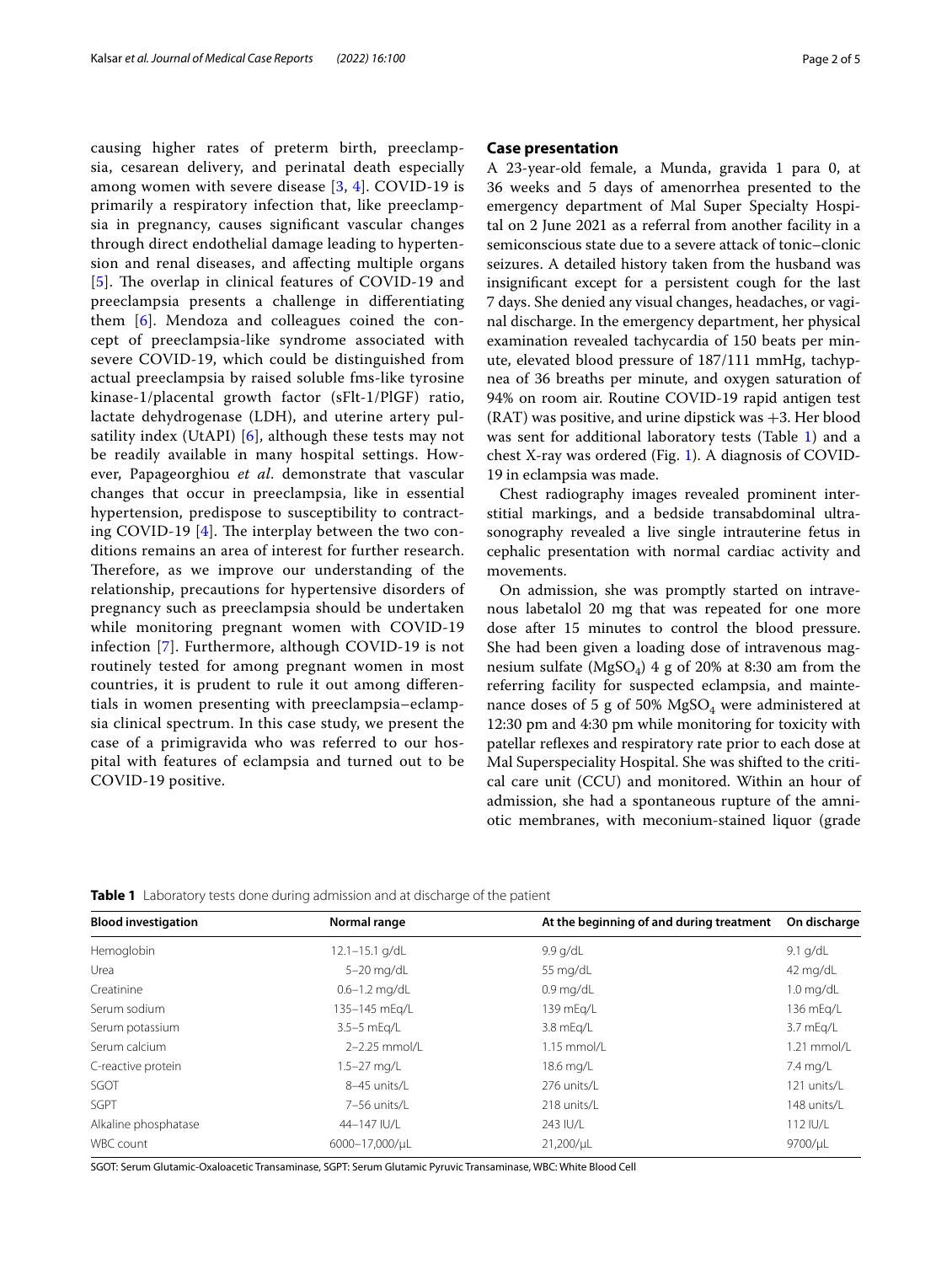causing higher rates of preterm birth, preeclampsia, cesarean delivery, and perinatal death especially among women with severe disease [\[3](#page-3-2), [4\]](#page-3-3). COVID-19 is primarily a respiratory infection that, like preeclampsia in pregnancy, causes signifcant vascular changes through direct endothelial damage leading to hypertension and renal diseases, and afecting multiple organs [[5](#page-3-4)]. The overlap in clinical features of COVID-19 and preeclampsia presents a challenge in diferentiating them [\[6](#page-3-5)]. Mendoza and colleagues coined the concept of preeclampsia-like syndrome associated with severe COVID-19, which could be distinguished from actual preeclampsia by raised soluble fms-like tyrosine kinase-1/placental growth factor (sFlt-1/PlGF) ratio, lactate dehydrogenase (LDH), and uterine artery pulsatility index (UtAPI) [[6](#page-3-5)], although these tests may not be readily available in many hospital settings. However, Papageorghiou *et al*. demonstrate that vascular changes that occur in preeclampsia, like in essential hypertension, predispose to susceptibility to contracting COVID-19  $[4]$  $[4]$ . The interplay between the two conditions remains an area of interest for further research. Therefore, as we improve our understanding of the relationship, precautions for hypertensive disorders of pregnancy such as preeclampsia should be undertaken while monitoring pregnant women with COVID-19 infection [\[7](#page-3-6)]. Furthermore, although COVID-19 is not routinely tested for among pregnant women in most countries, it is prudent to rule it out among diferentials in women presenting with preeclampsia–eclampsia clinical spectrum. In this case study, we present the case of a primigravida who was referred to our hospital with features of eclampsia and turned out to be COVID-19 positive.

## **Case presentation**

A 23-year-old female, a Munda, gravida 1 para 0, at 36 weeks and 5 days of amenorrhea presented to the emergency department of Mal Super Specialty Hospital on 2 June 2021 as a referral from another facility in a semiconscious state due to a severe attack of tonic–clonic seizures. A detailed history taken from the husband was insignifcant except for a persistent cough for the last 7 days. She denied any visual changes, headaches, or vaginal discharge. In the emergency department, her physical examination revealed tachycardia of 150 beats per minute, elevated blood pressure of 187/111 mmHg, tachypnea of 36 breaths per minute, and oxygen saturation of 94% on room air. Routine COVID-19 rapid antigen test  $(RAT)$  was positive, and urine dipstick was  $+3$ . Her blood was sent for additional laboratory tests (Table [1](#page-1-0)) and a chest X-ray was ordered (Fig. [1](#page-2-0)). A diagnosis of COVID-19 in eclampsia was made.

Chest radiography images revealed prominent interstitial markings, and a bedside transabdominal ultrasonography revealed a live single intrauterine fetus in cephalic presentation with normal cardiac activity and movements.

On admission, she was promptly started on intravenous labetalol 20 mg that was repeated for one more dose after 15 minutes to control the blood pressure. She had been given a loading dose of intravenous magnesium sulfate ( $MgSO_4$ ) 4 g of 20% at 8:30 am from the referring facility for suspected eclampsia, and maintenance doses of 5 g of 50%  $MgSO<sub>4</sub>$  were administered at 12:30 pm and 4:30 pm while monitoring for toxicity with patellar refexes and respiratory rate prior to each dose at Mal Superspeciality Hospital. She was shifted to the critical care unit (CCU) and monitored. Within an hour of admission, she had a spontaneous rupture of the amniotic membranes, with meconium-stained liquor (grade

<span id="page-1-0"></span>**Table 1** Laboratory tests done during admission and at discharge of the patient

| <b>Blood investigation</b> | Normal range       | At the beginning of and during treatment | On discharge        |
|----------------------------|--------------------|------------------------------------------|---------------------|
| Hemoglobin                 | $12.1 - 15.1$ g/dL | 9.9 g/dL                                 | $9.1$ g/dL          |
| Urea                       | $5-20$ mg/dL       | 55 $mq/dL$                               | 42 mg/dL            |
| Creatinine                 | $0.6 - 1.2$ mg/dL  | $0.9 \text{ mg/dL}$                      | $1.0 \text{ mg/dL}$ |
| Serum sodium               | 135-145 mEg/L      | 139 mEg/L                                | 136 mEg/L           |
| Serum potassium            | 3.5-5 mEg/L        | 3.8 mEg/L                                | 3.7 mEg/L           |
| Serum calcium              | 2-2.25 mmol/L      | $1.15$ mmol/L                            | $1.21$ mmol/L       |
| C-reactive protein         | $1.5 - 27$ mg/L    | 18.6 mg/L                                | 7.4 mg/L            |
| SGOT                       | 8-45 units/L       | 276 units/L                              | 121 units/L         |
| <b>SGPT</b>                | 7-56 units/L       | 218 units/L                              | 148 units/L         |
| Alkaline phosphatase       | 44-147 IU/L        | 243 IU/L                                 | 112 IU/L            |
| WBC count                  | 6000-17,000/uL     | 21,200/uL                                | 9700/uL             |
|                            |                    |                                          |                     |

SGOT: Serum Glutamic-Oxaloacetic Transaminase, SGPT: Serum Glutamic Pyruvic Transaminase, WBC: White Blood Cell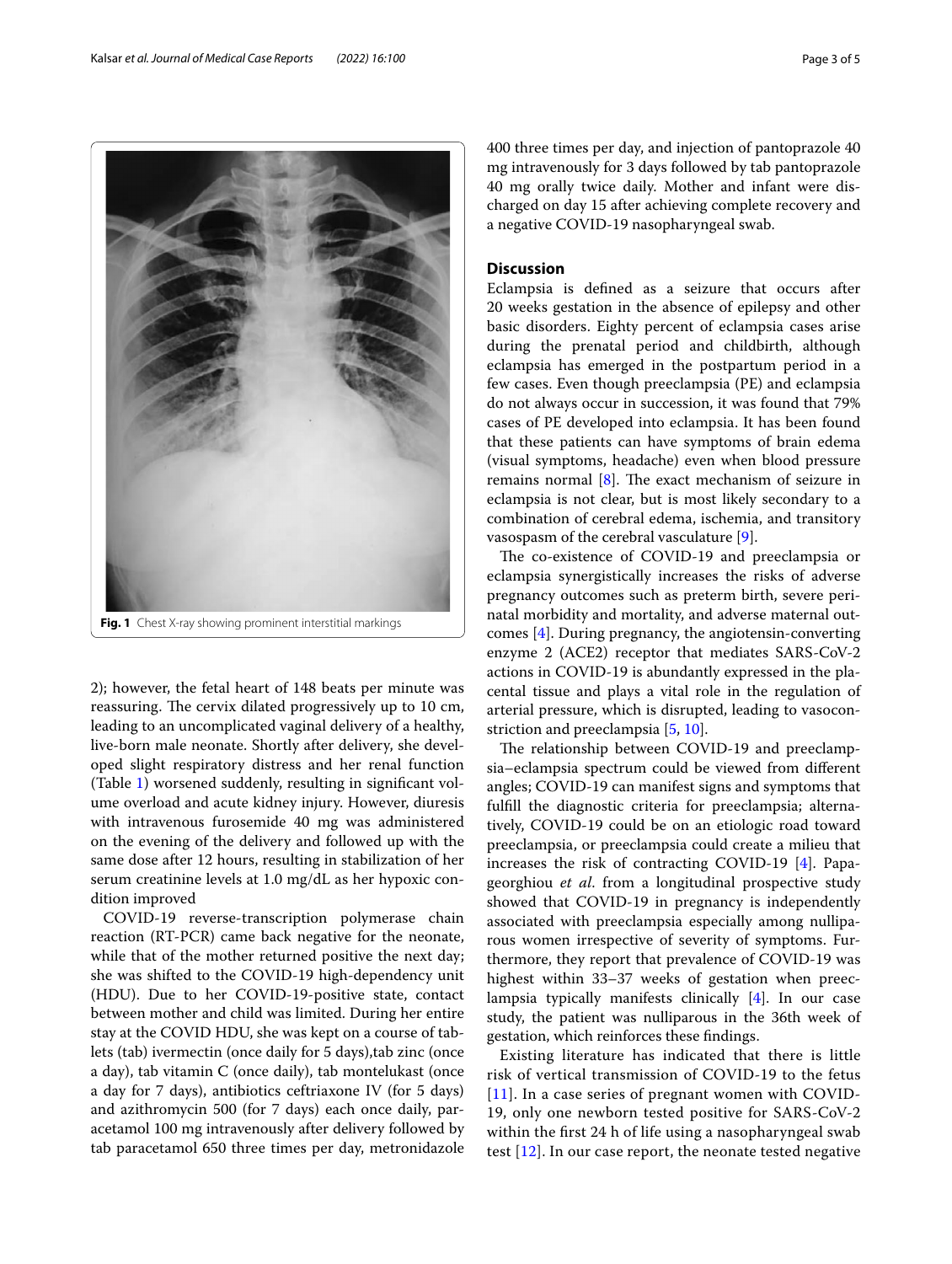<span id="page-2-0"></span>2); however, the fetal heart of 148 beats per minute was reassuring. The cervix dilated progressively up to 10 cm, leading to an uncomplicated vaginal delivery of a healthy, live-born male neonate. Shortly after delivery, she developed slight respiratory distress and her renal function (Table [1](#page-1-0)) worsened suddenly, resulting in signifcant volume overload and acute kidney injury. However, diuresis with intravenous furosemide 40 mg was administered on the evening of the delivery and followed up with the same dose after 12 hours, resulting in stabilization of her serum creatinine levels at 1.0 mg/dL as her hypoxic condition improved

COVID-19 reverse-transcription polymerase chain reaction (RT-PCR) came back negative for the neonate, while that of the mother returned positive the next day; she was shifted to the COVID-19 high-dependency unit (HDU). Due to her COVID-19-positive state, contact between mother and child was limited. During her entire stay at the COVID HDU, she was kept on a course of tablets (tab) ivermectin (once daily for 5 days),tab zinc (once a day), tab vitamin C (once daily), tab montelukast (once a day for 7 days), antibiotics ceftriaxone IV (for 5 days) and azithromycin 500 (for 7 days) each once daily, paracetamol 100 mg intravenously after delivery followed by tab paracetamol 650 three times per day, metronidazole 400 three times per day, and injection of pantoprazole 40 mg intravenously for 3 days followed by tab pantoprazole 40 mg orally twice daily. Mother and infant were discharged on day 15 after achieving complete recovery and a negative COVID-19 nasopharyngeal swab.

# **Discussion**

Eclampsia is defned as a seizure that occurs after 20 weeks gestation in the absence of epilepsy and other basic disorders. Eighty percent of eclampsia cases arise during the prenatal period and childbirth, although eclampsia has emerged in the postpartum period in a few cases. Even though preeclampsia (PE) and eclampsia do not always occur in succession, it was found that 79% cases of PE developed into eclampsia. It has been found that these patients can have symptoms of brain edema (visual symptoms, headache) even when blood pressure remains normal  $[8]$  $[8]$  $[8]$ . The exact mechanism of seizure in eclampsia is not clear, but is most likely secondary to a combination of cerebral edema, ischemia, and transitory vasospasm of the cerebral vasculature [[9\]](#page-3-8).

The co-existence of COVID-19 and preeclampsia or eclampsia synergistically increases the risks of adverse pregnancy outcomes such as preterm birth, severe perinatal morbidity and mortality, and adverse maternal outcomes [\[4](#page-3-3)]. During pregnancy, the angiotensin-converting enzyme 2 (ACE2) receptor that mediates SARS-CoV-2 actions in COVID-19 is abundantly expressed in the placental tissue and plays a vital role in the regulation of arterial pressure, which is disrupted, leading to vasoconstriction and preeclampsia [[5](#page-3-4), [10\]](#page-4-0).

The relationship between COVID-19 and preeclampsia–eclampsia spectrum could be viewed from diferent angles; COVID-19 can manifest signs and symptoms that fulfll the diagnostic criteria for preeclampsia; alternatively, COVID-19 could be on an etiologic road toward preeclampsia, or preeclampsia could create a milieu that increases the risk of contracting COVID-19 [[4](#page-3-3)]. Papageorghiou *et al*. from a longitudinal prospective study showed that COVID-19 in pregnancy is independently associated with preeclampsia especially among nulliparous women irrespective of severity of symptoms. Furthermore, they report that prevalence of COVID-19 was highest within 33–37 weeks of gestation when preeclampsia typically manifests clinically [\[4](#page-3-3)]. In our case study, the patient was nulliparous in the 36th week of gestation, which reinforces these fndings.

Existing literature has indicated that there is little risk of vertical transmission of COVID-19 to the fetus [[11](#page-4-1)]. In a case series of pregnant women with COVID-19, only one newborn tested positive for SARS-CoV-2 within the frst 24 h of life using a nasopharyngeal swab test [[12\]](#page-4-2). In our case report, the neonate tested negative

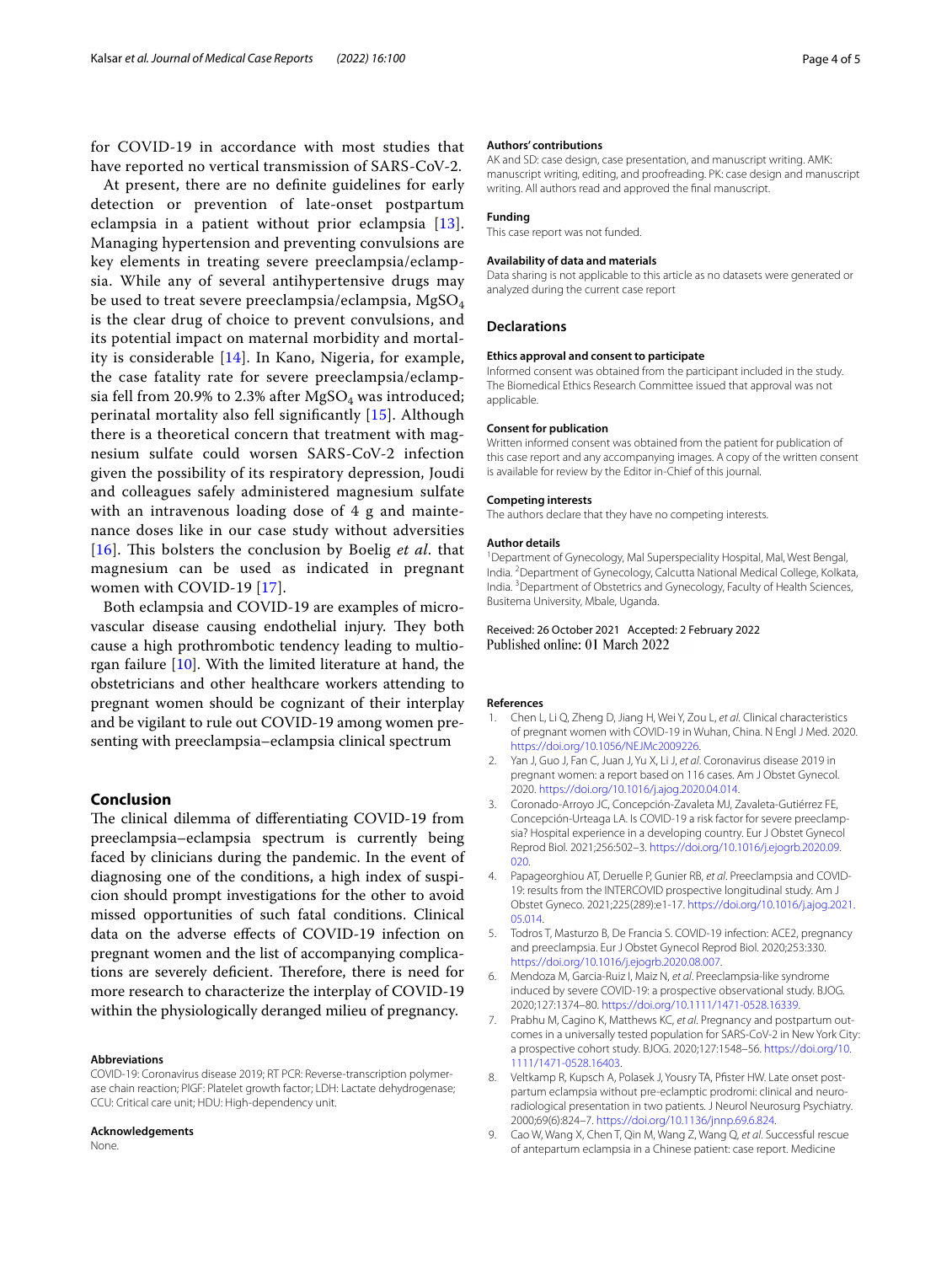for COVID-19 in accordance with most studies that have reported no vertical transmission of SARS-CoV-2.

At present, there are no defnite guidelines for early detection or prevention of late-onset postpartum eclampsia in a patient without prior eclampsia [[13\]](#page-4-3). Managing hypertension and preventing convulsions are key elements in treating severe preeclampsia/eclampsia. While any of several antihypertensive drugs may be used to treat severe preeclampsia/eclampsia,  $MgSO<sub>4</sub>$ is the clear drug of choice to prevent convulsions, and its potential impact on maternal morbidity and mortality is considerable [[14\]](#page-4-4). In Kano, Nigeria, for example, the case fatality rate for severe preeclampsia/eclampsia fell from 20.9% to 2.3% after  $MgSO<sub>4</sub>$  was introduced; perinatal mortality also fell signifcantly [[15](#page-4-5)]. Although there is a theoretical concern that treatment with magnesium sulfate could worsen SARS-CoV-2 infection given the possibility of its respiratory depression, Joudi and colleagues safely administered magnesium sulfate with an intravenous loading dose of 4 g and maintenance doses like in our case study without adversities [[16](#page-4-6)]. This bolsters the conclusion by Boelig *et al.* that magnesium can be used as indicated in pregnant women with COVID-19 [[17\]](#page-4-7).

Both eclampsia and COVID-19 are examples of microvascular disease causing endothelial injury. They both cause a high prothrombotic tendency leading to multiorgan failure [\[10](#page-4-0)]. With the limited literature at hand, the obstetricians and other healthcare workers attending to pregnant women should be cognizant of their interplay and be vigilant to rule out COVID-19 among women presenting with preeclampsia–eclampsia clinical spectrum

## **Conclusion**

The clinical dilemma of differentiating COVID-19 from preeclampsia–eclampsia spectrum is currently being faced by clinicians during the pandemic. In the event of diagnosing one of the conditions, a high index of suspicion should prompt investigations for the other to avoid missed opportunities of such fatal conditions. Clinical data on the adverse efects of COVID-19 infection on pregnant women and the list of accompanying complications are severely deficient. Therefore, there is need for more research to characterize the interplay of COVID-19 within the physiologically deranged milieu of pregnancy.

#### **Abbreviations**

COVID-19: Coronavirus disease 2019; RT PCR: Reverse-transcription polymerase chain reaction; PlGF: Platelet growth factor; LDH: Lactate dehydrogenase; CCU: Critical care unit; HDU: High-dependency unit.

#### **Acknowledgements**

None.

#### **Authors' contributions**

AK and SD: case design, case presentation, and manuscript writing. AMK: manuscript writing, editing, and proofreading. PK: case design and manuscript writing. All authors read and approved the fnal manuscript.

#### **Funding**

This case report was not funded.

#### **Availability of data and materials**

Data sharing is not applicable to this article as no datasets were generated or analyzed during the current case report

#### **Declarations**

#### **Ethics approval and consent to participate**

Informed consent was obtained from the participant included in the study. The Biomedical Ethics Research Committee issued that approval was not applicable.

#### **Consent for publication**

Written informed consent was obtained from the patient for publication of this case report and any accompanying images. A copy of the written consent is available for review by the Editor in-Chief of this journal.

#### **Competing interests**

The authors declare that they have no competing interests.

#### **Author details**

<sup>1</sup> Department of Gynecology, Mal Superspeciality Hospital, Mal, West Bengal, India. 2 Department of Gynecology, Calcutta National Medical College, Kolkata, India. 3 Department of Obstetrics and Gynecology, Faculty of Health Sciences, Busitema University, Mbale, Uganda.

## Received: 26 October 2021 Accepted: 2 February 2022 Published online: 01 March 2022

#### **References**

- <span id="page-3-0"></span>1. Chen L, Li Q, Zheng D, Jiang H, Wei Y, Zou L, *et al*. Clinical characteristics of pregnant women with COVID-19 in Wuhan, China. N Engl J Med. 2020. <https://doi.org/10.1056/NEJMc2009226>.
- <span id="page-3-1"></span>2. Yan J, Guo J, Fan C, Juan J, Yu X, Li J, *et al*. Coronavirus disease 2019 in pregnant women: a report based on 116 cases. Am J Obstet Gynecol. 2020. [https://doi.org/10.1016/j.ajog.2020.04.014.](https://doi.org/10.1016/j.ajog.2020.04.014)
- <span id="page-3-2"></span>3. Coronado-Arroyo JC, Concepción-Zavaleta MJ, Zavaleta-Gutiérrez FE, Concepción-Urteaga LA. Is COVID-19 a risk factor for severe preeclampsia? Hospital experience in a developing country. Eur J Obstet Gynecol Reprod Biol. 2021;256:502–3. [https://doi.org/10.1016/j.ejogrb.2020.09.](https://doi.org/10.1016/j.ejogrb.2020.09.020) [020.](https://doi.org/10.1016/j.ejogrb.2020.09.020)
- <span id="page-3-3"></span>4. Papageorghiou AT, Deruelle P, Gunier RB, *et al*. Preeclampsia and COVID-19: results from the INTERCOVID prospective longitudinal study. Am J Obstet Gyneco. 2021;225(289):e1-17. [https://doi.org/10.1016/j.ajog.2021.](https://doi.org/10.1016/j.ajog.2021.05.014) [05.014](https://doi.org/10.1016/j.ajog.2021.05.014).
- <span id="page-3-4"></span>5. Todros T, Masturzo B, De Francia S. COVID-19 infection: ACE2, pregnancy and preeclampsia. Eur J Obstet Gynecol Reprod Biol. 2020;253:330. [https://doi.org/10.1016/j.ejogrb.2020.08.007.](https://doi.org/10.1016/j.ejogrb.2020.08.007)
- <span id="page-3-5"></span>6. Mendoza M, Garcia-Ruiz I, Maiz N, *et al*. Preeclampsia-like syndrome induced by severe COVID-19: a prospective observational study. BJOG. 2020;127:1374–80. [https://doi.org/10.1111/1471-0528.16339.](https://doi.org/10.1111/1471-0528.16339)
- <span id="page-3-6"></span>7. Prabhu M, Cagino K, Matthews KC, *et al*. Pregnancy and postpartum outcomes in a universally tested population for SARS-CoV-2 in New York City: a prospective cohort study. BJOG. 2020;127:1548–56. [https://doi.org/10.](https://doi.org/10.1111/1471-0528.16403) [1111/1471-0528.16403](https://doi.org/10.1111/1471-0528.16403).
- <span id="page-3-7"></span>8. Veltkamp R, Kupsch A, Polasek J, Yousry TA, Pfister HW. Late onset postpartum eclampsia without pre-eclamptic prodromi: clinical and neuroradiological presentation in two patients. J Neurol Neurosurg Psychiatry. 2000;69(6):824–7. [https://doi.org/10.1136/jnnp.69.6.824.](https://doi.org/10.1136/jnnp.69.6.824)
- <span id="page-3-8"></span>9. Cao W, Wang X, Chen T, Qin M, Wang Z, Wang Q, *et al*. Successful rescue of antepartum eclampsia in a Chinese patient: case report. Medicine